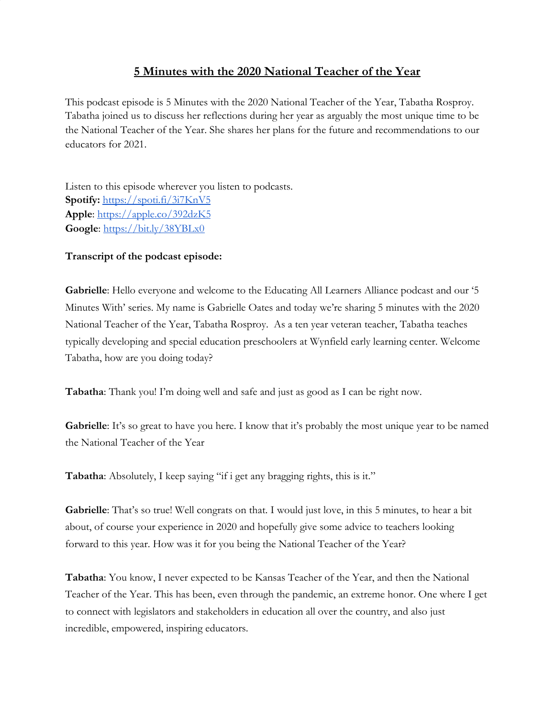## **5 Minutes with the 2020 National Teacher of the Year**

This podcast episode is 5 Minutes with the 2020 National Teacher of the Year, Tabatha Rosproy. Tabatha joined us to discuss her reflections during her year as arguably the most unique time to be the National Teacher of the Year. She shares her plans for the future and recommendations to our educators for 2021.

Listen to this episode wherever you listen to podcasts. **Spotify:** <https://spoti.fi/3i7KnV5> **Apple**:<https://apple.co/392dzK5> **Google**:<https://bit.ly/38YBLx0>

## **Transcript of the podcast episode:**

**Gabrielle**: Hello everyone and welcome to the Educating All Learners Alliance podcast and our '5 Minutes With' series. My name is Gabrielle Oates and today we're sharing 5 minutes with the 2020 National Teacher of the Year, Tabatha Rosproy. As a ten year veteran teacher, Tabatha teaches typically developing and special education preschoolers at Wynfield early learning center. Welcome Tabatha, how are you doing today?

**Tabatha**: Thank you! I'm doing well and safe and just as good as I can be right now.

**Gabrielle**: It's so great to have you here. I know that it's probably the most unique year to be named the National Teacher of the Year

**Tabatha**: Absolutely, I keep saying "if i get any bragging rights, this is it."

**Gabrielle**: That's so true! Well congrats on that. I would just love, in this 5 minutes, to hear a bit about, of course your experience in 2020 and hopefully give some advice to teachers looking forward to this year. How was it for you being the National Teacher of the Year?

**Tabatha**: You know, I never expected to be Kansas Teacher of the Year, and then the National Teacher of the Year. This has been, even through the pandemic, an extreme honor. One where I get to connect with legislators and stakeholders in education all over the country, and also just incredible, empowered, inspiring educators.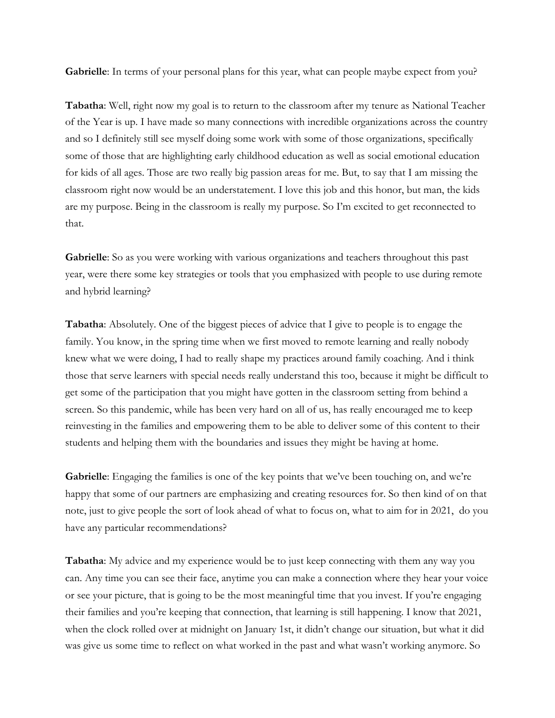**Gabrielle**: In terms of your personal plans for this year, what can people maybe expect from you?

**Tabatha**: Well, right now my goal is to return to the classroom after my tenure as National Teacher of the Year is up. I have made so many connections with incredible organizations across the country and so I definitely still see myself doing some work with some of those organizations, specifically some of those that are highlighting early childhood education as well as social emotional education for kids of all ages. Those are two really big passion areas for me. But, to say that I am missing the classroom right now would be an understatement. I love this job and this honor, but man, the kids are my purpose. Being in the classroom is really my purpose. So I'm excited to get reconnected to that.

**Gabrielle**: So as you were working with various organizations and teachers throughout this past year, were there some key strategies or tools that you emphasized with people to use during remote and hybrid learning?

**Tabatha**: Absolutely. One of the biggest pieces of advice that I give to people is to engage the family. You know, in the spring time when we first moved to remote learning and really nobody knew what we were doing, I had to really shape my practices around family coaching. And i think those that serve learners with special needs really understand this too, because it might be difficult to get some of the participation that you might have gotten in the classroom setting from behind a screen. So this pandemic, while has been very hard on all of us, has really encouraged me to keep reinvesting in the families and empowering them to be able to deliver some of this content to their students and helping them with the boundaries and issues they might be having at home.

**Gabrielle**: Engaging the families is one of the key points that we've been touching on, and we're happy that some of our partners are emphasizing and creating resources for. So then kind of on that note, just to give people the sort of look ahead of what to focus on, what to aim for in 2021, do you have any particular recommendations?

**Tabatha**: My advice and my experience would be to just keep connecting with them any way you can. Any time you can see their face, anytime you can make a connection where they hear your voice or see your picture, that is going to be the most meaningful time that you invest. If you're engaging their families and you're keeping that connection, that learning is still happening. I know that 2021, when the clock rolled over at midnight on January 1st, it didn't change our situation, but what it did was give us some time to reflect on what worked in the past and what wasn't working anymore. So